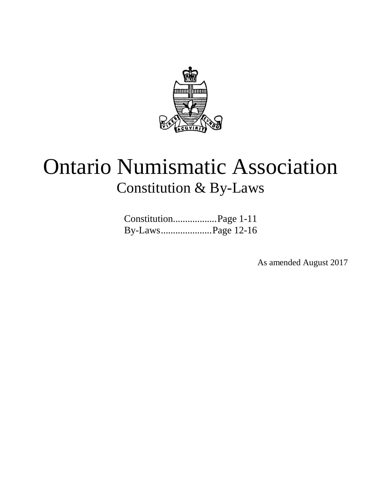

# Ontario Numismatic Association Constitution & By-Laws

| ConstitutionPage 1-11 |  |
|-----------------------|--|
|                       |  |

As amended August 2017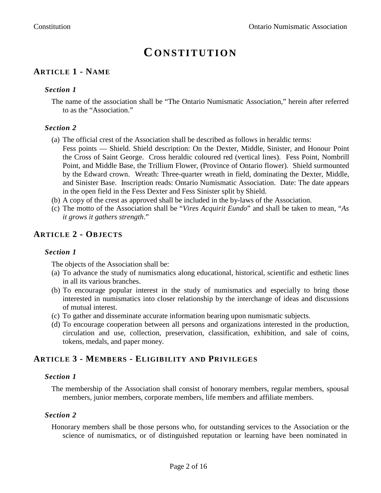## **CONSTITUTION**

### **ARTICLE 1 - NAME**

#### *Section 1*

The name of the association shall be "The Ontario Numismatic Association," herein after referred to as the "Association."

#### *Section 2*

- (a) The official crest of the Association shall be described as follows in heraldic terms:
- Fess points Shield. Shield description: On the Dexter, Middle, Sinister, and Honour Point the Cross of Saint George. Cross heraldic coloured red (vertical lines). Fess Point, Nombrill Point, and Middle Base, the Trillium Flower, (Province of Ontario flower). Shield surmounted by the Edward crown. Wreath: Three-quarter wreath in field, dominating the Dexter, Middle, and Sinister Base. Inscription reads: Ontario Numismatic Association. Date: The date appears in the open field in the Fess Dexter and Fess Sinister split by Shield.
- (b) A copy of the crest as approved shall be included in the by-laws of the Association.
- (c) The motto of the Association shall be "*Vires Acquirit Eundo*" and shall be taken to mean, "*As it grows it gathers strength*."

#### **ARTICLE 2 - OBJECTS**

#### *Section 1*

The objects of the Association shall be:

- (a) To advance the study of numismatics along educational, historical, scientific and esthetic lines in all its various branches.
- (b) To encourage popular interest in the study of numismatics and especially to bring those interested in numismatics into closer relationship by the interchange of ideas and discussions of mutual interest.
- (c) To gather and disseminate accurate information bearing upon numismatic subjects.
- (d) To encourage cooperation between all persons and organizations interested in the production, circulation and use, collection, preservation, classification, exhibition, and sale of coins, tokens, medals, and paper money.

#### **ARTICLE 3 - MEMBERS - ELIGIBILITY AND PRIVILEGES**

#### *Section 1*

The membership of the Association shall consist of honorary members, regular members, spousal members, junior members, corporate members, life members and affiliate members.

#### *Section 2*

Honorary members shall be those persons who, for outstanding services to the Association or the science of numismatics, or of distinguished reputation or learning have been nominated in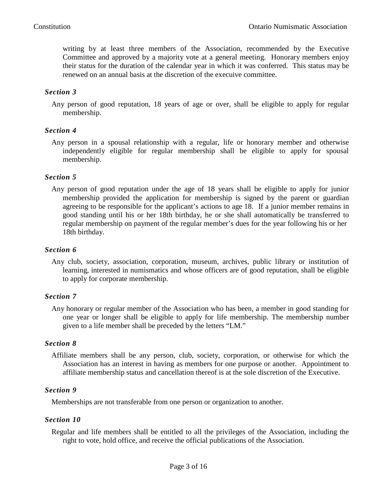writing by at least three members of the Association, recommended by the Executive Committee and approved by a majority vote at a general meeting. Honorary members enjoy their status for the duration of the calendar year in which it was conferred. This status may be renewed on an annual basis at the discretion of the execuive committee.

#### *Section 3*

Any person of good reputation, 18 years of age or over, shall be eligible to apply for regular membership.

#### *Section 4*

Any person in a spousal relationship with a regular, life or honorary member and otherwise independently eligible for regular membership shall be eligible to apply for spousal membership.

#### *Section 5*

Any person of good reputation under the age of 18 years shall be eligible to apply for junior membership provided the application for membership is signed by the parent or guardian agreeing to be responsible for the applicant's actions to age 18. If a junior member remains in good standing until his or her 18th birthday, he or she shall automatically be transferred to regular membership on payment of the regular member's dues for the year following his or her 18th birthday.

#### *Section 6*

Any club, society, association, corporation, museum, archives, public library or institution of learning, interested in numismatics and whose officers are of good reputation, shall be eligible to apply for corporate membership.

#### *Section 7*

Any honorary or regular member of the Association who has been, a member in good standing for one year or longer shall be eligible to apply for life membership. The membership number given to a life member shall be preceded by the letters "LM."

#### *Section 8*

Affiliate members shall be any person, club, society, corporation, or otherwise for which the Association has an interest in having as members for one purpose or another. Appointment to affiliate membership status and cancellation thereof is at the sole discretion of the Executive.

#### *Section 9*

Memberships are not transferable from one person or organization to another.

#### *Section 10*

Regular and life members shall be entitled to all the privileges of the Association, including the right to vote, hold office, and receive the official publications of the Association.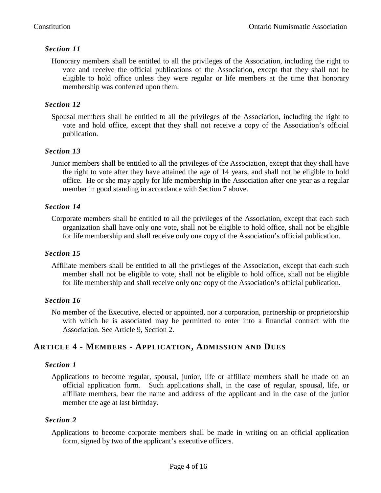Honorary members shall be entitled to all the privileges of the Association, including the right to vote and receive the official publications of the Association, except that they shall not be eligible to hold office unless they were regular or life members at the time that honorary membership was conferred upon them.

#### *Section 12*

Spousal members shall be entitled to all the privileges of the Association, including the right to vote and hold office, except that they shall not receive a copy of the Association's official publication.

#### *Section 13*

Junior members shall be entitled to all the privileges of the Association, except that they shall have the right to vote after they have attained the age of 14 years, and shall not be eligible to hold office. He or she may apply for life membership in the Association after one year as a regular member in good standing in accordance with Section 7 above.

#### *Section 14*

Corporate members shall be entitled to all the privileges of the Association, except that each such organization shall have only one vote, shall not be eligible to hold office, shall not be eligible for life membership and shall receive only one copy of the Association's official publication.

#### *Section 15*

Affiliate members shall be entitled to all the privileges of the Association, except that each such member shall not be eligible to vote, shall not be eligible to hold office, shall not be eligible for life membership and shall receive only one copy of the Association's official publication.

#### *Section 16*

No member of the Executive, elected or appointed, nor a corporation, partnership or proprietorship with which he is associated may be permitted to enter into a financial contract with the Association. See Article 9, Section 2.

#### **ARTICLE 4 - MEMBERS - APPLICATION, ADMISSION AND DUES**

#### *Section 1*

Applications to become regular, spousal, junior, life or affiliate members shall be made on an official application form. Such applications shall, in the case of regular, spousal, life, or affiliate members, bear the name and address of the applicant and in the case of the junior member the age at last birthday.

#### *Section 2*

Applications to become corporate members shall be made in writing on an official application form, signed by two of the applicant's executive officers.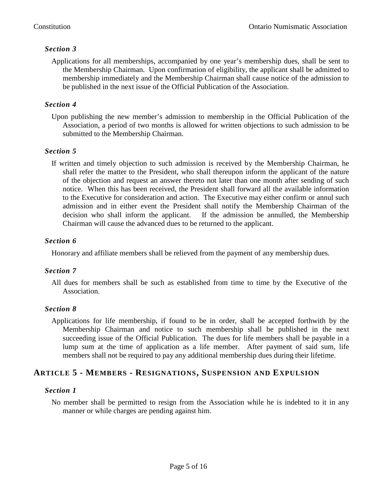Applications for all memberships, accompanied by one year's membership dues, shall be sent to the Membership Chairman. Upon confirmation of eligibility, the applicant shall be admitted to membership immediately and the Membership Chairman shall cause notice of the admission to be published in the next issue of the Official Publication of the Association.

#### *Section 4*

Upon publishing the new member's admission to membership in the Official Publication of the Association, a period of two months is allowed for written objections to such admission to be submitted to the Membership Chairman.

#### *Section 5*

If written and timely objection to such admission is received by the Membership Chairman, he shall refer the matter to the President, who shall thereupon inform the applicant of the nature of the objection and request an answer thereto not later than one month after sending of such notice. When this has been received, the President shall forward all the available information to the Executive for consideration and action. The Executive may either confirm or annul such admission and in either event the President shall notify the Membership Chairman of the decision who shall inform the applicant. If the admission be annulled, the Membership Chairman will cause the advanced dues to be returned to the applicant.

#### *Section 6*

Honorary and affiliate members shall be relieved from the payment of any membership dues.

#### *Section 7*

All dues for members shall be such as established from time to time by the Executive of the Association.

#### *Section 8*

Applications for life membership, if found to be in order, shall be accepted forthwith by the Membership Chairman and notice to such membership shall be published in the next succeeding issue of the Official Publication. The dues for life members shall be payable in a lump sum at the time of application as a life member. After payment of said sum, life members shall not be required to pay any additional membership dues during their lifetime.

#### **ARTICLE 5 - MEMBERS - RESIGNATIONS, SUSPENSION AND EXPULSION**

#### *Section 1*

No member shall be permitted to resign from the Association while he is indebted to it in any manner or while charges are pending against him.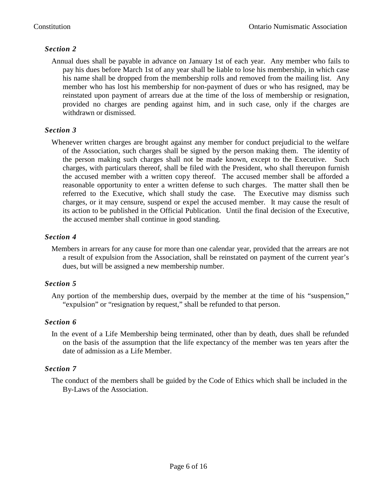Annual dues shall be payable in advance on January 1st of each year. Any member who fails to pay his dues before March 1st of any year shall be liable to lose his membership, in which case his name shall be dropped from the membership rolls and removed from the mailing list. Any member who has lost his membership for non-payment of dues or who has resigned, may be reinstated upon payment of arrears due at the time of the loss of membership or resignation, provided no charges are pending against him, and in such case, only if the charges are withdrawn or dismissed.

#### *Section 3*

Whenever written charges are brought against any member for conduct prejudicial to the welfare of the Association, such charges shall be signed by the person making them. The identity of the person making such charges shall not be made known, except to the Executive. Such charges, with particulars thereof, shall be filed with the President, who shall thereupon furnish the accused member with a written copy thereof. The accused member shall be afforded a reasonable opportunity to enter a written defense to such charges. The matter shall then be referred to the Executive, which shall study the case. The Executive may dismiss such charges, or it may censure, suspend or expel the accused member. It may cause the result of its action to be published in the Official Publication. Until the final decision of the Executive, the accused member shall continue in good standing.

#### *Section 4*

Members in arrears for any cause for more than one calendar year, provided that the arrears are not a result of expulsion from the Association, shall be reinstated on payment of the current year's dues, but will be assigned a new membership number.

#### *Section 5*

Any portion of the membership dues, overpaid by the member at the time of his "suspension," "expulsion" or "resignation by request," shall be refunded to that person.

#### *Section 6*

In the event of a Life Membership being terminated, other than by death, dues shall be refunded on the basis of the assumption that the life expectancy of the member was ten years after the date of admission as a Life Member.

#### *Section 7*

The conduct of the members shall be guided by the Code of Ethics which shall be included in the By-Laws of the Association.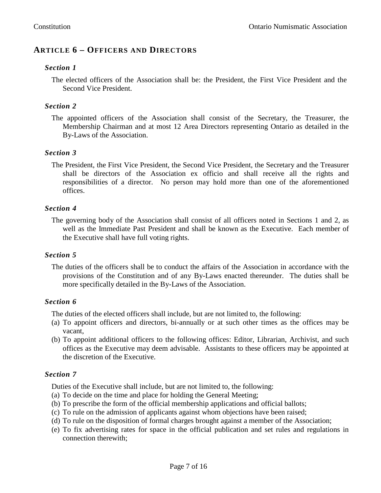#### **ARTICLE 6 – OFFICERS AND DIRECTORS**

#### *Section 1*

The elected officers of the Association shall be: the President, the First Vice President and the Second Vice President.

#### *Section 2*

The appointed officers of the Association shall consist of the Secretary, the Treasurer, the Membership Chairman and at most 12 Area Directors representing Ontario as detailed in the By-Laws of the Association.

#### *Section 3*

The President, the First Vice President, the Second Vice President, the Secretary and the Treasurer shall be directors of the Association ex officio and shall receive all the rights and responsibilities of a director. No person may hold more than one of the aforementioned offices.

#### *Section 4*

The governing body of the Association shall consist of all officers noted in Sections 1 and 2, as well as the Immediate Past President and shall be known as the Executive. Each member of the Executive shall have full voting rights.

#### *Section 5*

The duties of the officers shall be to conduct the affairs of the Association in accordance with the provisions of the Constitution and of any By-Laws enacted thereunder. The duties shall be more specifically detailed in the By-Laws of the Association.

#### *Section 6*

The duties of the elected officers shall include, but are not limited to, the following:

- (a) To appoint officers and directors, bi-annually or at such other times as the offices may be vacant,
- (b) To appoint additional officers to the following offices: Editor, Librarian, Archivist, and such offices as the Executive may deem advisable. Assistants to these officers may be appointed at the discretion of the Executive.

#### *Section 7*

Duties of the Executive shall include, but are not limited to, the following:

- (a) To decide on the time and place for holding the General Meeting;
- (b) To prescribe the form of the official membership applications and official ballots;
- (c) To rule on the admission of applicants against whom objections have been raised;
- (d) To rule on the disposition of formal charges brought against a member of the Association;
- (e) To fix advertising rates for space in the official publication and set rules and regulations in connection therewith;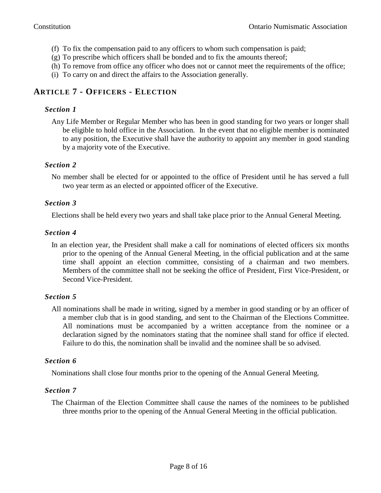- (f) To fix the compensation paid to any officers to whom such compensation is paid;
- (g) To prescribe which officers shall be bonded and to fix the amounts thereof;
- (h) To remove from office any officer who does not or cannot meet the requirements of the office;
- (i) To carry on and direct the affairs to the Association generally.

#### **ARTICLE 7 - OFFICERS - ELECTION**

#### *Section 1*

Any Life Member or Regular Member who has been in good standing for two years or longer shall be eligible to hold office in the Association. In the event that no eligible member is nominated to any position, the Executive shall have the authority to appoint any member in good standing by a majority vote of the Executive.

#### *Section 2*

No member shall be elected for or appointed to the office of President until he has served a full two year term as an elected or appointed officer of the Executive.

#### *Section 3*

Elections shall be held every two years and shall take place prior to the Annual General Meeting.

#### *Section 4*

In an election year, the President shall make a call for nominations of elected officers six months prior to the opening of the Annual General Meeting, in the official publication and at the same time shall appoint an election committee, consisting of a chairman and two members. Members of the committee shall not be seeking the office of President, First Vice-President, or Second Vice-President.

#### *Section 5*

All nominations shall be made in writing, signed by a member in good standing or by an officer of a member club that is in good standing, and sent to the Chairman of the Elections Committee. All nominations must be accompanied by a written acceptance from the nominee or a declaration signed by the nominators stating that the nominee shall stand for office if elected. Failure to do this, the nomination shall be invalid and the nominee shall be so advised.

#### *Section 6*

Nominations shall close four months prior to the opening of the Annual General Meeting.

#### *Section 7*

The Chairman of the Election Committee shall cause the names of the nominees to be published three months prior to the opening of the Annual General Meeting in the official publication.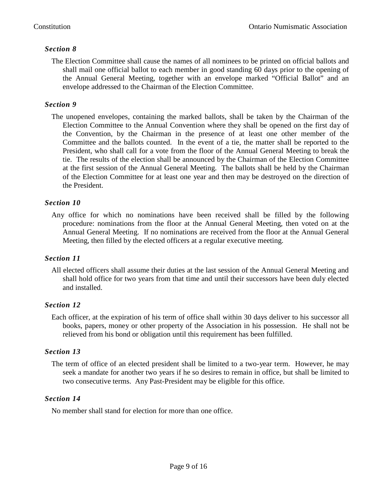The Election Committee shall cause the names of all nominees to be printed on official ballots and shall mail one official ballot to each member in good standing 60 days prior to the opening of the Annual General Meeting, together with an envelope marked "Official Ballot" and an envelope addressed to the Chairman of the Election Committee.

#### *Section 9*

The unopened envelopes, containing the marked ballots, shall be taken by the Chairman of the Election Committee to the Annual Convention where they shall be opened on the first day of the Convention, by the Chairman in the presence of at least one other member of the Committee and the ballots counted. In the event of a tie, the matter shall be reported to the President, who shall call for a vote from the floor of the Annual General Meeting to break the tie. The results of the election shall be announced by the Chairman of the Election Committee at the first session of the Annual General Meeting. The ballots shall be held by the Chairman of the Election Committee for at least one year and then may be destroyed on the direction of the President.

#### *Section 10*

Any office for which no nominations have been received shall be filled by the following procedure: nominations from the floor at the Annual General Meeting, then voted on at the Annual General Meeting. If no nominations are received from the floor at the Annual General Meeting, then filled by the elected officers at a regular executive meeting.

#### *Section 11*

All elected officers shall assume their duties at the last session of the Annual General Meeting and shall hold office for two years from that time and until their successors have been duly elected and installed.

#### *Section 12*

Each officer, at the expiration of his term of office shall within 30 days deliver to his successor all books, papers, money or other property of the Association in his possession. He shall not be relieved from his bond or obligation until this requirement has been fulfilled.

#### *Section 13*

The term of office of an elected president shall be limited to a two-year term. However, he may seek a mandate for another two years if he so desires to remain in office, but shall be limited to two consecutive terms. Any Past-President may be eligible for this office.

#### *Section 14*

No member shall stand for election for more than one office.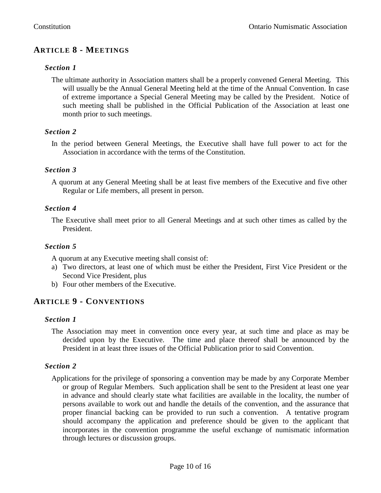### **ARTICLE 8 - MEETINGS**

#### *Section 1*

The ultimate authority in Association matters shall be a properly convened General Meeting. This will usually be the Annual General Meeting held at the time of the Annual Convention. In case of extreme importance a Special General Meeting may be called by the President. Notice of such meeting shall be published in the Official Publication of the Association at least one month prior to such meetings.

#### *Section 2*

In the period between General Meetings, the Executive shall have full power to act for the Association in accordance with the terms of the Constitution.

#### *Section 3*

A quorum at any General Meeting shall be at least five members of the Executive and five other Regular or Life members, all present in person.

#### *Section 4*

The Executive shall meet prior to all General Meetings and at such other times as called by the President.

#### *Section 5*

A quorum at any Executive meeting shall consist of:

- a) Two directors, at least one of which must be either the President, First Vice President or the Second Vice President, plus
- b) Four other members of the Executive.

#### **ARTICLE 9 - CONVENTIONS**

#### *Section 1*

The Association may meet in convention once every year, at such time and place as may be decided upon by the Executive. The time and place thereof shall be announced by the President in at least three issues of the Official Publication prior to said Convention.

#### *Section 2*

Applications for the privilege of sponsoring a convention may be made by any Corporate Member or group of Regular Members. Such application shall be sent to the President at least one year in advance and should clearly state what facilities are available in the locality, the number of persons available to work out and handle the details of the convention, and the assurance that proper financial backing can be provided to run such a convention. A tentative program should accompany the application and preference should be given to the applicant that incorporates in the convention programme the useful exchange of numismatic information through lectures or discussion groups.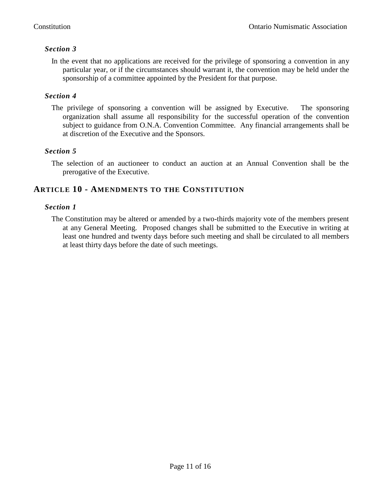In the event that no applications are received for the privilege of sponsoring a convention in any particular year, or if the circumstances should warrant it, the convention may be held under the sponsorship of a committee appointed by the President for that purpose.

#### *Section 4*

The privilege of sponsoring a convention will be assigned by Executive. The sponsoring organization shall assume all responsibility for the successful operation of the convention subject to guidance from O.N.A. Convention Committee. Any financial arrangements shall be at discretion of the Executive and the Sponsors.

#### *Section 5*

The selection of an auctioneer to conduct an auction at an Annual Convention shall be the prerogative of the Executive.

#### **ARTICLE 10 - AMENDMENTS TO THE CONSTITUTION**

#### *Section 1*

The Constitution may be altered or amended by a two-thirds majority vote of the members present at any General Meeting. Proposed changes shall be submitted to the Executive in writing at least one hundred and twenty days before such meeting and shall be circulated to all members at least thirty days before the date of such meetings.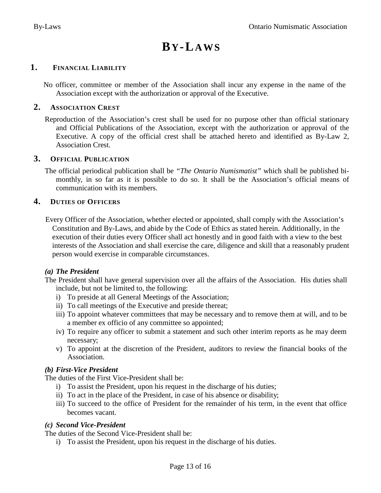# **BY-LA WS**

#### **1. FINANCIAL LIABILITY**

 No officer, committee or member of the Association shall incur any expense in the name of the Association except with the authorization or approval of the Executive.

#### **2. ASSOCIATION CREST**

Reproduction of the Association's crest shall be used for no purpose other than official stationary and Official Publications of the Association, except with the authorization or approval of the Executive. A copy of the official crest shall be attached hereto and identified as By-Law 2, Association Crest.

#### **3. OFFICIAL PUBLICATION**

The official periodical publication shall be *"The Ontario Numismatist"* which shall be published bimonthly, in so far as it is possible to do so. It shall be the Association's official means of communication with its members.

#### **4. DUTIES OF OFFICERS**

 Every Officer of the Association, whether elected or appointed, shall comply with the Association's Constitution and By-Laws, and abide by the Code of Ethics as stated herein. Additionally, in the execution of their duties every Officer shall act honestly and in good faith with a view to the best interests of the Association and shall exercise the care, diligence and skill that a reasonably prudent person would exercise in comparable circumstances.

#### *(a) The President*

The President shall have general supervision over all the affairs of the Association. His duties shall include, but not be limited to, the following:

- i) To preside at all General Meetings of the Association;
- ii) To call meetings of the Executive and preside thereat;
- iii) To appoint whatever committees that may be necessary and to remove them at will, and to be a member ex officio of any committee so appointed;
- iv) To require any officer to submit a statement and such other interim reports as he may deem necessary;
- v) To appoint at the discretion of the President, auditors to review the financial books of the Association.

#### *(b) First-Vice President*

The duties of the First Vice-President shall be:

- i) To assist the President, upon his request in the discharge of his duties;
- ii) To act in the place of the President, in case of his absence or disability;
- iii) To succeed to the office of President for the remainder of his term, in the event that office becomes vacant.

#### *(c) Second Vice-President*

The duties of the Second Vice-President shall be:

i) To assist the President, upon his request in the discharge of his duties.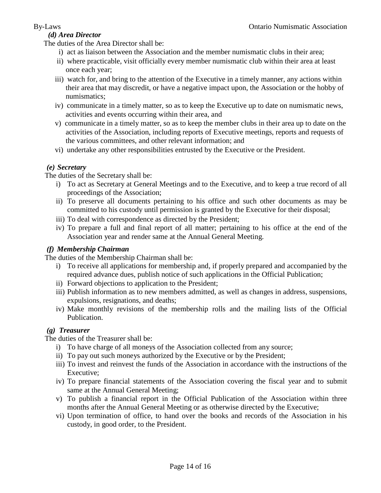#### *(d) Area Director*

The duties of the Area Director shall be:

- i) act as liaison between the Association and the member numismatic clubs in their area;
- ii) where practicable, visit officially every member numismatic club within their area at least once each year;
- iii) watch for, and bring to the attention of the Executive in a timely manner, any actions within their area that may discredit, or have a negative impact upon, the Association or the hobby of numismatics;
- iv) communicate in a timely matter, so as to keep the Executive up to date on numismatic news, activities and events occurring within their area, and
- v) communicate in a timely matter, so as to keep the member clubs in their area up to date on the activities of the Association, including reports of Executive meetings, reports and requests of the various committees, and other relevant information; and
- vi) undertake any other responsibilities entrusted by the Executive or the President.

#### *(e) Secretary*

The duties of the Secretary shall be:

- i) To act as Secretary at General Meetings and to the Executive, and to keep a true record of all proceedings of the Association;
- ii) To preserve all documents pertaining to his office and such other documents as may be committed to his custody until permission is granted by the Executive for their disposal;
- iii) To deal with correspondence as directed by the President;
- iv) To prepare a full and final report of all matter; pertaining to his office at the end of the Association year and render same at the Annual General Meeting.

#### *(f) Membership Chairman*

The duties of the Membership Chairman shall be:

- i) To receive all applications for membership and, if properly prepared and accompanied by the required advance dues, publish notice of such applications in the Official Publication;
- ii) Forward objections to application to the President;
- iii) Publish information as to new members admitted, as well as changes in address, suspensions, expulsions, resignations, and deaths;
- iv) Make monthly revisions of the membership rolls and the mailing lists of the Official Publication.

#### *(g) Treasurer*

The duties of the Treasurer shall be:

- i) To have charge of all moneys of the Association collected from any source;
- ii) To pay out such moneys authorized by the Executive or by the President;
- iii) To invest and reinvest the funds of the Association in accordance with the instructions of the Executive;
- iv) To prepare financial statements of the Association covering the fiscal year and to submit same at the Annual General Meeting;
- v) To publish a financial report in the Official Publication of the Association within three months after the Annual General Meeting or as otherwise directed by the Executive;
- vi) Upon termination of office, to hand over the books and records of the Association in his custody, in good order, to the President.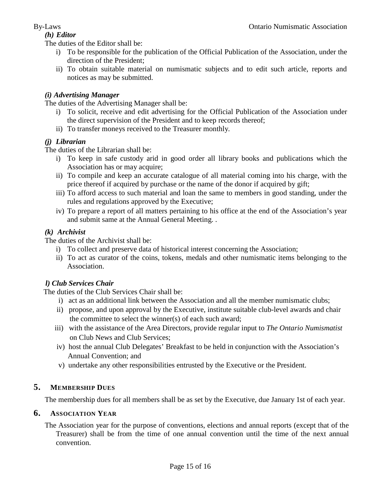#### *(h) Editor*

The duties of the Editor shall be:

- i) To be responsible for the publication of the Official Publication of the Association, under the direction of the President;
- ii) To obtain suitable material on numismatic subjects and to edit such article, reports and notices as may be submitted.

#### *(i) Advertising Manager*

The duties of the Advertising Manager shall be:

- i) To solicit, receive and edit advertising for the Official Publication of the Association under the direct supervision of the President and to keep records thereof;
- ii) To transfer moneys received to the Treasurer monthly.

#### *(j) Librarian*

The duties of the Librarian shall be:

- i) To keep in safe custody arid in good order all library books and publications which the Association has or may acquire;
- ii) To compile and keep an accurate catalogue of all material coming into his charge, with the price thereof if acquired by purchase or the name of the donor if acquired by gift;
- iii) To afford access to such material and loan the same to members in good standing, under the rules and regulations approved by the Executive;
- iv) To prepare a report of all matters pertaining to his office at the end of the Association's year and submit same at the Annual General Meeting. .

#### *(k) Archivist*

The duties of the Archivist shall be:

- i) To collect and preserve data of historical interest concerning the Association;
- ii) To act as curator of the coins, tokens, medals and other numismatic items belonging to the Association.

#### *l) Club Services Chair*

The duties of the Club Services Chair shall be:

- i) act as an additional link between the Association and all the member numismatic clubs;
- ii) propose, and upon approval by the Executive, institute suitable club-level awards and chair the committee to select the winner(s) of each such award;
- iii) with the assistance of the Area Directors, provide regular input to *The Ontario Numismatist*  on Club News and Club Services;
- iv) host the annual Club Delegates' Breakfast to be held in conjunction with the Association's Annual Convention; and
- v) undertake any other responsibilities entrusted by the Executive or the President.

#### **5. MEMBERSHIP DUES**

The membership dues for all members shall be as set by the Executive, due January 1st of each year.

#### **6. ASSOCIATION YEAR**

The Association year for the purpose of conventions, elections and annual reports (except that of the Treasurer) shall be from the time of one annual convention until the time of the next annual convention.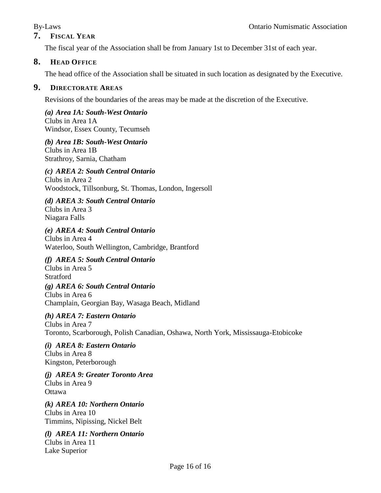#### **7. FISCAL YEAR**

The fiscal year of the Association shall be from January 1st to December 31st of each year.

#### **8. HEAD OFFICE**

The head office of the Association shall be situated in such location as designated by the Executive.

#### **9. DIRECTORATE AREAS**

Revisions of the boundaries of the areas may be made at the discretion of the Executive.

*(a) Area 1A: South-West Ontario* Clubs in Area 1A Windsor, Essex County, Tecumseh

*(b) Area 1B: South-West Ontario* Clubs in Area 1B Strathroy, Sarnia, Chatham

### *(c) AREA 2: South Central Ontario*

Clubs in Area 2 Woodstock, Tillsonburg, St. Thomas, London, Ingersoll

*(d) AREA 3: South Central Ontario*

Clubs in Area 3 Niagara Falls

#### *(e) AREA 4: South Central Ontario*

Clubs in Area 4 Waterloo, South Wellington, Cambridge, Brantford

#### *(f) AREA 5: South Central Ontario*

Clubs in Area 5 Stratford

#### *(g) AREA 6: South Central Ontario*

Clubs in Area 6 Champlain, Georgian Bay, Wasaga Beach, Midland

*(h) AREA 7: Eastern Ontario* Clubs in Area 7 Toronto, Scarborough, Polish Canadian, Oshawa, North York, Mississauga-Etobicoke

*(i) AREA 8: Eastern Ontario* Clubs in Area 8 Kingston, Peterborough

*(j) AREA 9: Greater Toronto Area* Clubs in Area 9 **Ottawa** 

*(k) AREA 10: Northern Ontario* Clubs in Area 10 Timmins, Nipissing, Nickel Belt

*(l) AREA 11: Northern Ontario* Clubs in Area 11 Lake Superior